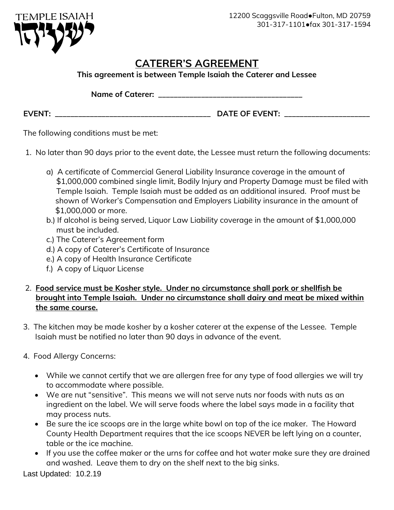

## **CATERER'S AGREEMENT**

**This agreement is between Temple Isaiah the Caterer and Lessee**

**Name of Caterer: \_\_\_\_\_\_\_\_\_\_\_\_\_\_\_\_\_\_\_\_\_\_\_\_\_\_\_\_\_\_\_\_\_\_\_\_\_**

**EVENT: \_\_\_\_\_\_\_\_\_\_\_\_\_\_\_\_\_\_\_\_\_\_\_\_\_\_\_\_\_\_\_\_\_\_\_\_\_\_\_\_ DATE OF EVENT: \_\_\_\_\_\_\_\_\_\_\_\_\_\_\_\_\_\_\_\_\_\_**

The following conditions must be met:

- 1. No later than 90 days prior to the event date, the Lessee must return the following documents:
	- a) A certificate of Commercial General Liability Insurance coverage in the amount of \$1,000,000 combined single limit, Bodily Injury and Property Damage must be filed with Temple Isaiah. Temple Isaiah must be added as an additional insured. Proof must be shown of Worker's Compensation and Employers Liability insurance in the amount of \$1,000,000 or more.
	- b.) If alcohol is being served, Liquor Law Liability coverage in the amount of \$1,000,000 must be included.
	- c.) The Caterer's Agreement form
	- d.) A copy of Caterer's Certificate of Insurance
	- e.) A copy of Health Insurance Certificate
	- f.) A copy of Liquor License
- 2. **Food service must be Kosher style. Under no circumstance shall pork or shellfish be brought into Temple Isaiah. Under no circumstance shall dairy and meat be mixed within the same course.**
- 3. The kitchen may be made kosher by a kosher caterer at the expense of the Lessee. Temple Isaiah must be notified no later than 90 days in advance of the event.
- 4. Food Allergy Concerns:
	- While we cannot certify that we are allergen free for any type of food allergies we will try to accommodate where possible.
	- We are nut "sensitive". This means we will not serve nuts nor foods with nuts as an ingredient on the label. We will serve foods where the label says made in a facility that may process nuts.
	- Be sure the ice scoops are in the large white bowl on top of the ice maker. The Howard County Health Department requires that the ice scoops NEVER be left lying on a counter, table or the ice machine.
	- If you use the coffee maker or the urns for coffee and hot water make sure they are drained and washed. Leave them to dry on the shelf next to the big sinks.

Last Updated: 10.2.19